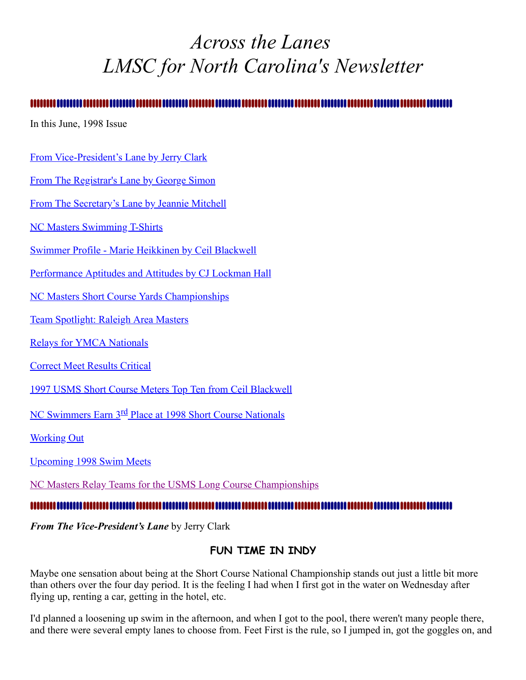# <span id="page-0-1"></span>*Across the Lanes LMSC for North Carolina's Newsletter*

#### ,,,,,,,,,,,,,,,,,,,,,,

In this June, 1998 Issue

## [From Vice-President's Lane by Jerry Clark](#page-0-0)

[From The Registrar's Lane by George Simon](#page-1-0)

[From The Secretary's Lane by Jeannie Mitchell](#page-2-0)

[NC Masters Swimming T-Shirts](#page-3-0)

[Swimmer Profile - Marie Heikkinen by Ceil Blackwell](#page-3-1)

[Performance Aptitudes and Attitudes by CJ Lockman Hall](#page-4-0)

**[NC Masters Short Course Yards Championships](#page-5-0)** 

[Team Spotlight: Raleigh Area Masters](#page-6-0)

[Relays for YMCA Nationals](#page-6-1)

[Correct Meet Results Critical](#page-6-2)

[1997 USMS Short Course Meters Top Ten from Ceil Blackwell](#page-7-0)

NC Swimmers Earn 3<sup>rd</sup> [Place at 1998 Short Course Nationals](#page-8-0)

Working Out

[Upcoming 1998 Swim Meets](#page-11-0)

[NC Masters Relay Teams for the USMS Long Course Championships](#page-11-1)

#### n ..................

<span id="page-0-0"></span>*From The Vice-President's Lane* by Jerry Clark

## **FUN TIME IN INDY**

Maybe one sensation about being at the Short Course National Championship stands out just a little bit more than others over the four day period. It is the feeling I had when I first got in the water on Wednesday after flying up, renting a car, getting in the hotel, etc.

I'd planned a loosening up swim in the afternoon, and when I got to the pool, there weren't many people there, and there were several empty lanes to choose from. Feet First is the rule, so I jumped in, got the goggles on, and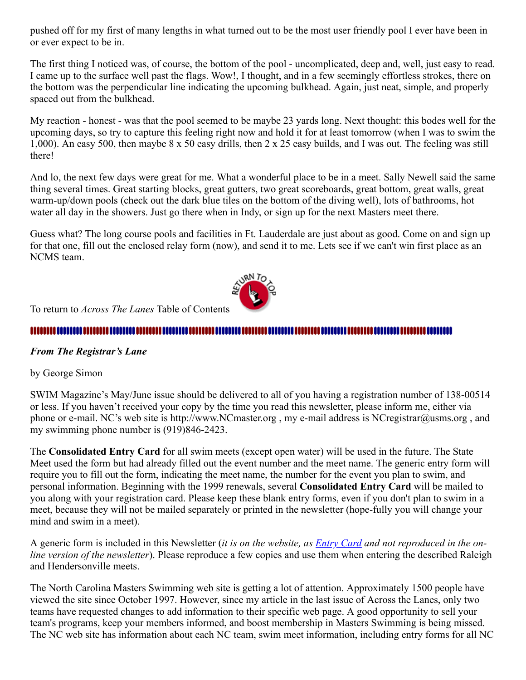pushed off for my first of many lengths in what turned out to be the most user friendly pool I ever have been in or ever expect to be in.

The first thing I noticed was, of course, the bottom of the pool - uncomplicated, deep and, well, just easy to read. I came up to the surface well past the flags. Wow!, I thought, and in a few seemingly effortless strokes, there on the bottom was the perpendicular line indicating the upcoming bulkhead. Again, just neat, simple, and properly spaced out from the bulkhead.

My reaction - honest - was that the pool seemed to be maybe 23 yards long. Next thought: this bodes well for the upcoming days, so try to capture this feeling right now and hold it for at least tomorrow (when I was to swim the 1,000). An easy 500, then maybe 8 x 50 easy drills, then 2 x 25 easy builds, and I was out. The feeling was still there!

And lo, the next few days were great for me. What a wonderful place to be in a meet. Sally Newell said the same thing several times. Great starting blocks, great gutters, two great scoreboards, great bottom, great walls, great warm-up/down pools (check out the dark blue tiles on the bottom of the diving well), lots of bathrooms, hot water all day in the showers. Just go there when in Indy, or sign up for the next Masters meet there.

Guess what? The long course pools and facilities in Ft. Lauderdale are just about as good. Come on and sign up for that one, fill out the enclosed relay form (now), and send it to me. Lets see if we can't win first place as an NCMS team.



To return to *Across The Lanes* Table of Contents

## <span id="page-1-0"></span>*From The Registrar's Lane*

by George Simon

SWIM Magazine's May/June issue should be delivered to all of you having a registration number of 138-00514 or less. If you haven't received your copy by the time you read this newsletter, please inform me, either via phone or e-mail. NC's web site is http://www.NCmaster.org , my e-mail address is NCregistrar@usms.org , and my swimming phone number is (919)846-2423.

The **Consolidated Entry Card** for all swim meets (except open water) will be used in the future. The State Meet used the form but had already filled out the event number and the meet name. The generic entry form will require you to fill out the form, indicating the meet name, the number for the event you plan to swim, and personal information. Beginning with the 1999 renewals, several **Consolidated Entry Card** will be mailed to you along with your registration card. Please keep these blank entry forms, even if you don't plan to swim in a meet, because they will not be mailed separately or printed in the newsletter (hope-fully you will change your mind and swim in a meet).

A generic form is included in this Newsletter (*it is on the website, as [Entry Card](http://ncmasters.org/conentry.html) and not reproduced in the online version of the newsletter*). Please reproduce a few copies and use them when entering the described Raleigh and Hendersonville meets.

The North Carolina Masters Swimming web site is getting a lot of attention. Approximately 1500 people have viewed the site since October 1997. However, since my article in the last issue of Across the Lanes, only two teams have requested changes to add information to their specific web page. A good opportunity to sell your team's programs, keep your members informed, and boost membership in Masters Swimming is being missed. The NC web site has information about each NC team, swim meet information, including entry forms for all NC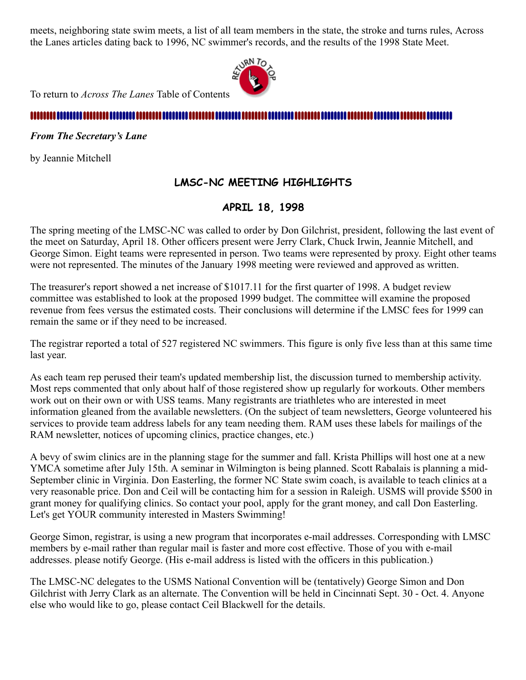meets, neighboring state swim meets, a list of all team members in the state, the stroke and turns rules, Across the Lanes articles dating back to 1996, NC swimmer's records, and the results of the 1998 State Meet.



To return to *Across The Lanes* Table of Contents

#### 11111111 .... ........ ........ ......

<span id="page-2-0"></span>*From The Secretary's Lane*

by Jeannie Mitchell

## **LMSC-NC MEETING HIGHLIGHTS**

## **APRIL 18, 1998**

The spring meeting of the LMSC-NC was called to order by Don Gilchrist, president, following the last event of the meet on Saturday, April 18. Other officers present were Jerry Clark, Chuck Irwin, Jeannie Mitchell, and George Simon. Eight teams were represented in person. Two teams were represented by proxy. Eight other teams were not represented. The minutes of the January 1998 meeting were reviewed and approved as written.

The treasurer's report showed a net increase of \$1017.11 for the first quarter of 1998. A budget review committee was established to look at the proposed 1999 budget. The committee will examine the proposed revenue from fees versus the estimated costs. Their conclusions will determine if the LMSC fees for 1999 can remain the same or if they need to be increased.

The registrar reported a total of 527 registered NC swimmers. This figure is only five less than at this same time last year.

As each team rep perused their team's updated membership list, the discussion turned to membership activity. Most reps commented that only about half of those registered show up regularly for workouts. Other members work out on their own or with USS teams. Many registrants are triathletes who are interested in meet information gleaned from the available newsletters. (On the subject of team newsletters, George volunteered his services to provide team address labels for any team needing them. RAM uses these labels for mailings of the RAM newsletter, notices of upcoming clinics, practice changes, etc.)

A bevy of swim clinics are in the planning stage for the summer and fall. Krista Phillips will host one at a new YMCA sometime after July 15th. A seminar in Wilmington is being planned. Scott Rabalais is planning a mid-September clinic in Virginia. Don Easterling, the former NC State swim coach, is available to teach clinics at a very reasonable price. Don and Ceil will be contacting him for a session in Raleigh. USMS will provide \$500 in grant money for qualifying clinics. So contact your pool, apply for the grant money, and call Don Easterling. Let's get YOUR community interested in Masters Swimming!

George Simon, registrar, is using a new program that incorporates e-mail addresses. Corresponding with LMSC members by e-mail rather than regular mail is faster and more cost effective. Those of you with e-mail addresses. please notify George. (His e-mail address is listed with the officers in this publication.)

The LMSC-NC delegates to the USMS National Convention will be (tentatively) George Simon and Don Gilchrist with Jerry Clark as an alternate. The Convention will be held in Cincinnati Sept. 30 - Oct. 4. Anyone else who would like to go, please contact Ceil Blackwell for the details.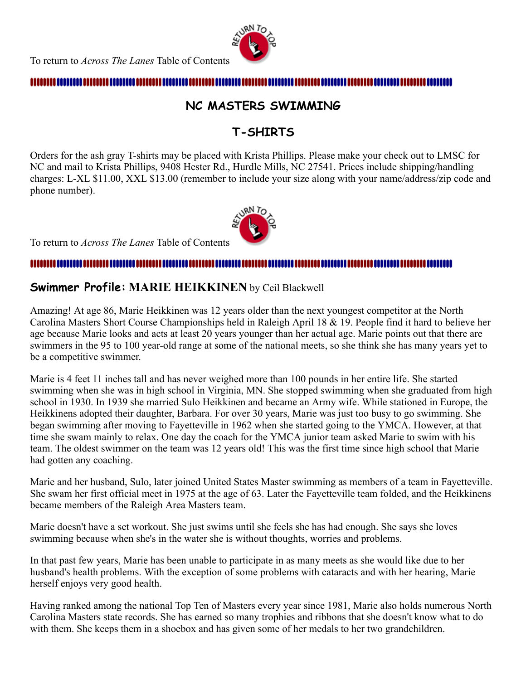

## <span id="page-3-0"></span>**NC MASTERS SWIMMING**

## **T-SHIRTS**

Orders for the ash gray T-shirts may be placed with Krista Phillips. Please make your check out to LMSC for NC and mail to Krista Phillips, 9408 Hester Rd., Hurdle Mills, NC 27541. Prices include shipping/handling charges: L-XL \$11.00, XXL \$13.00 (remember to include your size along with your name/address/zip code and phone number).



To return to *Across The Lanes* Table of Contents

#### 

## <span id="page-3-1"></span>**Swimmer Profile: MARIE HEIKKINEN** by Ceil Blackwell

Amazing! At age 86, Marie Heikkinen was 12 years older than the next youngest competitor at the North Carolina Masters Short Course Championships held in Raleigh April 18 & 19. People find it hard to believe her age because Marie looks and acts at least 20 years younger than her actual age. Marie points out that there are swimmers in the 95 to 100 year-old range at some of the national meets, so she think she has many years yet to be a competitive swimmer.

Marie is 4 feet 11 inches tall and has never weighed more than 100 pounds in her entire life. She started swimming when she was in high school in Virginia, MN. She stopped swimming when she graduated from high school in 1930. In 1939 she married Sulo Heikkinen and became an Army wife. While stationed in Europe, the Heikkinens adopted their daughter, Barbara. For over 30 years, Marie was just too busy to go swimming. She began swimming after moving to Fayetteville in 1962 when she started going to the YMCA. However, at that time she swam mainly to relax. One day the coach for the YMCA junior team asked Marie to swim with his team. The oldest swimmer on the team was 12 years old! This was the first time since high school that Marie had gotten any coaching.

Marie and her husband, Sulo, later joined United States Master swimming as members of a team in Fayetteville. She swam her first official meet in 1975 at the age of 63. Later the Fayetteville team folded, and the Heikkinens became members of the Raleigh Area Masters team.

Marie doesn't have a set workout. She just swims until she feels she has had enough. She says she loves swimming because when she's in the water she is without thoughts, worries and problems.

In that past few years, Marie has been unable to participate in as many meets as she would like due to her husband's health problems. With the exception of some problems with cataracts and with her hearing, Marie herself enjoys very good health.

Having ranked among the national Top Ten of Masters every year since 1981, Marie also holds numerous North Carolina Masters state records. She has earned so many trophies and ribbons that she doesn't know what to do with them. She keeps them in a shoebox and has given some of her medals to her two grandchildren.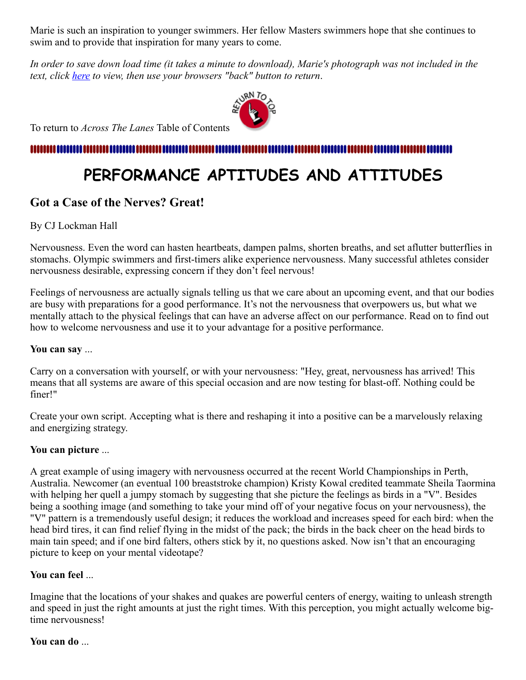Marie is such an inspiration to younger swimmers. Her fellow Masters swimmers hope that she continues to swim and to provide that inspiration for many years to come.

*In order to save down load time (it takes a minute to download), Marie's photograph was not included in the text, click [here](http://ncmasters.org/marie.jpg) to view, then use your browsers "back" button to return*.



To return to *Across The Lanes* Table of Contents

## 111111111111

# <span id="page-4-0"></span>**PERFORMANCE APTITUDES AND ATTITUDES**

## **Got a Case of the Nerves? Great!**

### By CJ Lockman Hall

Nervousness. Even the word can hasten heartbeats, dampen palms, shorten breaths, and set aflutter butterflies in stomachs. Olympic swimmers and first-timers alike experience nervousness. Many successful athletes consider nervousness desirable, expressing concern if they don't feel nervous!

Feelings of nervousness are actually signals telling us that we care about an upcoming event, and that our bodies are busy with preparations for a good performance. It's not the nervousness that overpowers us, but what we mentally attach to the physical feelings that can have an adverse affect on our performance. Read on to find out how to welcome nervousness and use it to your advantage for a positive performance.

### **You can say** ...

Carry on a conversation with yourself, or with your nervousness: "Hey, great, nervousness has arrived! This means that all systems are aware of this special occasion and are now testing for blast-off. Nothing could be finer!"

Create your own script. Accepting what is there and reshaping it into a positive can be a marvelously relaxing and energizing strategy.

### **You can picture** ...

A great example of using imagery with nervousness occurred at the recent World Championships in Perth, Australia. Newcomer (an eventual 100 breaststroke champion) Kristy Kowal credited teammate Sheila Taormina with helping her quell a jumpy stomach by suggesting that she picture the feelings as birds in a "V". Besides being a soothing image (and something to take your mind off of your negative focus on your nervousness), the "V" pattern is a tremendously useful design; it reduces the workload and increases speed for each bird: when the head bird tires, it can find relief flying in the midst of the pack; the birds in the back cheer on the head birds to main tain speed; and if one bird falters, others stick by it, no questions asked. Now isn't that an encouraging picture to keep on your mental videotape?

### **You can feel** ...

Imagine that the locations of your shakes and quakes are powerful centers of energy, waiting to unleash strength and speed in just the right amounts at just the right times. With this perception, you might actually welcome bigtime nervousness!

### **You can do** ...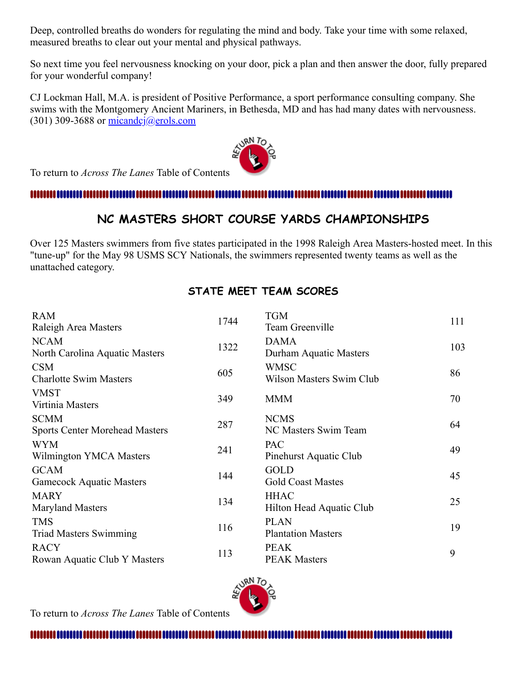Deep, controlled breaths do wonders for regulating the mind and body. Take your time with some relaxed, measured breaths to clear out your mental and physical pathways.

So next time you feel nervousness knocking on your door, pick a plan and then answer the door, fully prepared for your wonderful company!

CJ Lockman Hall, M.A. is president of Positive Performance, a sport performance consulting company. She swims with the Montgomery Ancient Mariners, in Bethesda, MD and has had many dates with nervousness. (301) 309-3688 or  $\frac{\text{micando}}{\text{g} \cdot \text{m} \cdot \text{m}}$ 

To return to *Across The Lanes* Table of Contents

#### mmmm

## <span id="page-5-0"></span>**NC MASTERS SHORT COURSE YARDS CHAMPIONSHIPS**

Over 125 Masters swimmers from five states participated in the 1998 Raleigh Area Masters-hosted meet. In this "tune-up" for the May 98 USMS SCY Nationals, the swimmers represented twenty teams as well as the unattached category.

## **STATE MEET TEAM SCORES**

| <b>RAM</b><br>Raleigh Area Masters                   | 1744 | <b>TGM</b><br>Team Greenville                  | 111 |
|------------------------------------------------------|------|------------------------------------------------|-----|
| <b>NCAM</b><br>North Carolina Aquatic Masters        | 1322 | <b>DAMA</b><br>Durham Aquatic Masters          | 103 |
| <b>CSM</b><br><b>Charlotte Swim Masters</b>          | 605  | <b>WMSC</b><br><b>Wilson Masters Swim Club</b> | 86  |
| <b>VMST</b><br>Virtinia Masters                      | 349  | <b>MMM</b>                                     | 70  |
| <b>SCMM</b><br><b>Sports Center Morehead Masters</b> | 287  | <b>NCMS</b><br>NC Masters Swim Team            | 64  |
| <b>WYM</b><br>Wilmington YMCA Masters                | 241  | PAC<br>Pinehurst Aquatic Club                  | 49  |
| <b>GCAM</b><br><b>Gamecock Aquatic Masters</b>       | 144  | <b>GOLD</b><br><b>Gold Coast Mastes</b>        | 45  |
| <b>MARY</b><br><b>Maryland Masters</b>               | 134  | <b>HHAC</b><br>Hilton Head Aquatic Club        | 25  |
| <b>TMS</b><br><b>Triad Masters Swimming</b>          | 116  | <b>PLAN</b><br><b>Plantation Masters</b>       | 19  |
| <b>RACY</b><br>Rowan Aquatic Club Y Masters          | 113  | <b>PEAK</b><br><b>PEAK Masters</b>             | 9   |



To return to *Across The Lanes* Table of Contents

,,,,,,,,,,,,,,,,,,,,,,,,,,,,,,,,,,,,,, ,,,,,,,,,,,,,,,,,,,,,,,,,,,,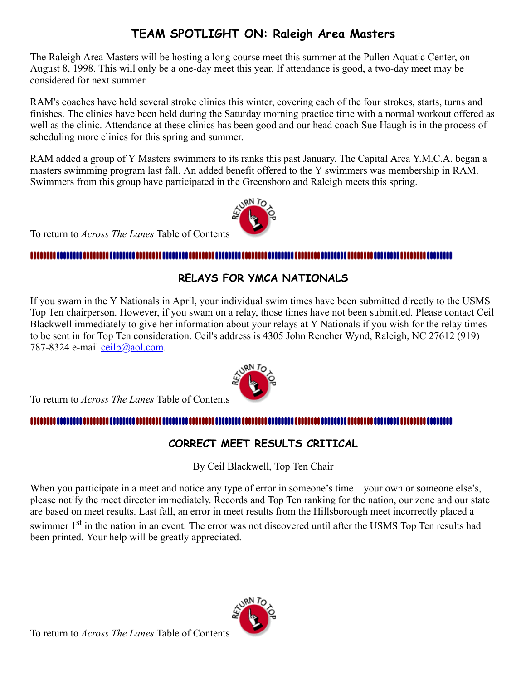## <span id="page-6-0"></span>**TEAM SPOTLIGHT ON: Raleigh Area Masters**

The Raleigh Area Masters will be hosting a long course meet this summer at the Pullen Aquatic Center, on August 8, 1998. This will only be a one-day meet this year. If attendance is good, a two-day meet may be considered for next summer.

RAM's coaches have held several stroke clinics this winter, covering each of the four strokes, starts, turns and finishes. The clinics have been held during the Saturday morning practice time with a normal workout offered as well as the clinic. Attendance at these clinics has been good and our head coach Sue Haugh is in the process of scheduling more clinics for this spring and summer.

RAM added a group of Y Masters swimmers to its ranks this past January. The Capital Area Y.M.C.A. began a masters swimming program last fall. An added benefit offered to the Y swimmers was membership in RAM. Swimmers from this group have participated in the Greensboro and Raleigh meets this spring.



To return to *Across The Lanes* Table of Contents

## 

## <span id="page-6-1"></span>**RELAYS FOR YMCA NATIONALS**

If you swam in the Y Nationals in April, your individual swim times have been submitted directly to the USMS Top Ten chairperson. However, if you swam on a relay, those times have not been submitted. Please contact Ceil Blackwell immediately to give her information about your relays at Y Nationals if you wish for the relay times to be sent in for Top Ten consideration. Ceil's address is 4305 John Rencher Wynd, Raleigh, NC 27612 (919) 787-8324 e-mail [ceilb@aol.com](mailto:ceilb@aol.com).

To return to *Across The Lanes* Table of Contents

## mmm

## <span id="page-6-2"></span>**CORRECT MEET RESULTS CRITICAL**

By Ceil Blackwell, Top Ten Chair

When you participate in a meet and notice any type of error in someone's time – your own or someone else's, please notify the meet director immediately. Records and Top Ten ranking for the nation, our zone and our state are based on meet results. Last fall, an error in meet results from the Hillsborough meet incorrectly placed a swimmer 1<sup>st</sup> in the nation in an event. The error was not discovered until after the USMS Top Ten results had been printed. Your help will be greatly appreciated.



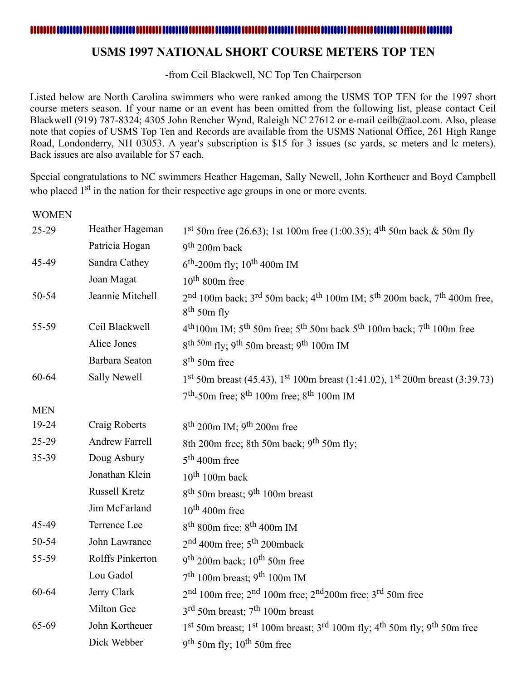## <span id="page-7-0"></span>**USMS 1997 NATIONAL SHORT COURSE METERS TOP TEN**

-from Ceil Blackwell, NC Top Ten Chairperson

Listed below are North Carolina swimmers who were ranked among the USMS TOP TEN for the 1997 short course meters season. If your name or an event has been omitted from the following list, please contact Ceil Blackwell (919) 787-8324; 4305 John Rencher Wynd, Raleigh NC 27612 or e-mail ceilb@aol.com. Also, please note that copies of USMS Top Ten and Records are available from the USMS National Office, 261 High Range Road, Londonderry, NH 03053. A year's subscription is \$15 for 3 issues (sc yards, sc meters and lc meters). Back issues are also available for \$7 each.

Special congratulations to NC swimmers Heather Hageman, Sally Newell, John Kortheuer and Boyd Campbell who placed 1<sup>st</sup> in the nation for their respective age groups in one or more events.

WOMEN

| 25-29      | Heather Hageman       | 1 <sup>st</sup> 50m free (26.63); 1st 100m free (1:00.35); 4 <sup>th</sup> 50m back & 50m fly                                              |  |  |
|------------|-----------------------|--------------------------------------------------------------------------------------------------------------------------------------------|--|--|
|            | Patricia Hogan        | $9th 200m$ back                                                                                                                            |  |  |
| 45-49      | Sandra Cathey         | $6^{\text{th}}$ -200m fly; 10 <sup>th</sup> 400m IM                                                                                        |  |  |
|            | Joan Magat            | $10^{th}$ 800m free                                                                                                                        |  |  |
| 50-54      | Jeannie Mitchell      | $2nd$ 100m back; 3 <sup>rd</sup> 50m back; 4 <sup>th</sup> 100m IM; 5 <sup>th</sup> 200m back, 7 <sup>th</sup> 400m free,<br>$8th$ 50m fly |  |  |
| 55-59      | Ceil Blackwell        | 4 <sup>th</sup> 100m IM; 5 <sup>th</sup> 50m free; 5 <sup>th</sup> 50m back 5 <sup>th</sup> 100m back; 7 <sup>th</sup> 100m free           |  |  |
|            | Alice Jones           | 8 <sup>th 50m</sup> fly; 9 <sup>th</sup> 50m breast; 9 <sup>th</sup> 100m IM                                                               |  |  |
|            | Barbara Seaton        | $8th$ 50m free                                                                                                                             |  |  |
| 60-64      | Sally Newell          | $1st$ 50m breast (45.43), $1st$ 100m breast (1:41.02), $1st$ 200m breast (3:39.73)                                                         |  |  |
|            |                       | $7th$ -50m free; 8 <sup>th</sup> 100m free; 8 <sup>th</sup> 100m IM                                                                        |  |  |
| <b>MEN</b> |                       |                                                                                                                                            |  |  |
| 19-24      | Craig Roberts         | $8th$ 200m IM; 9 <sup>th</sup> 200m free                                                                                                   |  |  |
| 25-29      | <b>Andrew Farrell</b> | 8th 200m free; 8th 50m back; 9 <sup>th</sup> 50m fly;                                                                                      |  |  |
| 35-39      | Doug Asbury           | $5th$ 400m free                                                                                                                            |  |  |
|            | Jonathan Klein        | $10^{th}$ 100m back                                                                                                                        |  |  |
|            | Russell Kretz         | 8 <sup>th</sup> 50m breast; 9 <sup>th</sup> 100m breast                                                                                    |  |  |
|            | Jim McFarland         | $10^{th}$ 400m free                                                                                                                        |  |  |
| 45-49      | Terrence Lee          | $8th$ 800m free; $8th$ 400m IM                                                                                                             |  |  |
| 50-54      | John Lawrance         | 2 <sup>nd</sup> 400m free; 5 <sup>th</sup> 200mback                                                                                        |  |  |
| 55-59      | Rolffs Pinkerton      | $9th 200m$ back; 10 <sup>th</sup> 50m free                                                                                                 |  |  |
|            | Lou Gadol             | 7 <sup>th</sup> 100m breast; 9 <sup>th</sup> 100m IM                                                                                       |  |  |
| 60-64      | Jerry Clark           | $2nd 100nd$ free; $2nd 100nd$ free; $2nd 200nd$ free; $3rd 50nd$ free                                                                      |  |  |
|            | Milton Gee            | $3^{\text{rd}}$ 50m breast; $7^{\text{th}}$ 100m breast                                                                                    |  |  |
| 65-69      | John Kortheuer        | 1 <sup>st</sup> 50m breast; 1 <sup>st</sup> 100m breast; 3 <sup>rd</sup> 100m fly; 4 <sup>th</sup> 50m fly; 9 <sup>th</sup> 50m free       |  |  |
|            | Dick Webber           | $9th$ 50m fly; 10 <sup>th</sup> 50m free                                                                                                   |  |  |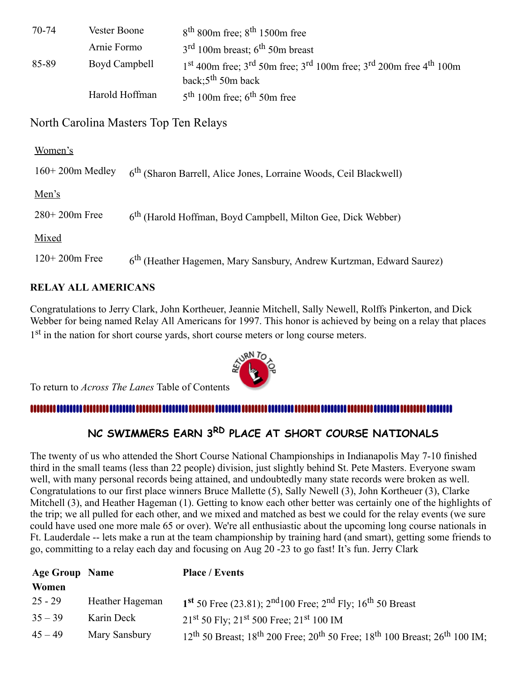| 70-74 | Vester Boone   | $8th$ 800m free; $8th$ 1500m free                                                      |
|-------|----------------|----------------------------------------------------------------------------------------|
|       | Arnie Formo    | $3rd 100m$ breast; 6 <sup>th</sup> 50m breast                                          |
| 85-89 | Boyd Campbell  | $1st$ 400m free; $3rd$ 50m free; $3rd$ 100m free; $3rd$ 200m free 4 <sup>th</sup> 100m |
|       |                | back; $5th$ 50m back                                                                   |
|       | Harold Hoffman | $5th 100m$ free; 6 <sup>th</sup> 50m free                                              |

## North Carolina Masters Top Ten Relays

| Women's           |                                                                                  |
|-------------------|----------------------------------------------------------------------------------|
| $160+200m$ Medley | 6 <sup>th</sup> (Sharon Barrell, Alice Jones, Lorraine Woods, Ceil Blackwell)    |
| Men's             |                                                                                  |
| $280+200m$ Free   | 6 <sup>th</sup> (Harold Hoffman, Boyd Campbell, Milton Gee, Dick Webber)         |
| Mixed             |                                                                                  |
| $120+200m$ Free   | 6 <sup>th</sup> (Heather Hagemen, Mary Sansbury, Andrew Kurtzman, Edward Saurez) |

## **RELAY ALL AMERICANS**

Congratulations to Jerry Clark, John Kortheuer, Jeannie Mitchell, Sally Newell, Rolffs Pinkerton, and Dick Webber for being named Relay All Americans for 1997. This honor is achieved by being on a relay that places 1<sup>st</sup> in the nation for short course yards, short course meters or long course meters.

To return to *Across The Lanes* Table of Contents

## 

# <span id="page-8-0"></span>**NC SWIMMERS EARN 3RD PLACE AT SHORT COURSE NATIONALS**

The twenty of us who attended the Short Course National Championships in Indianapolis May 7-10 finished third in the small teams (less than 22 people) division, just slightly behind St. Pete Masters. Everyone swam well, with many personal records being attained, and undoubtedly many state records were broken as well. Congratulations to our first place winners Bruce Mallette (5), Sally Newell (3), John Kortheuer (3), Clarke Mitchell (3), and Heather Hageman (1). Getting to know each other better was certainly one of the highlights of the trip; we all pulled for each other, and we mixed and matched as best we could for the relay events (we sure could have used one more male 65 or over). We're all enthusiastic about the upcoming long course nationals in Ft. Lauderdale -- lets make a run at the team championship by training hard (and smart), getting some friends to go, committing to a relay each day and focusing on Aug 20 -23 to go fast! It's fun. Jerry Clark

| <b>Age Group Name</b> |                 | <b>Place / Events</b>                                                                               |
|-----------------------|-----------------|-----------------------------------------------------------------------------------------------------|
| Women                 |                 |                                                                                                     |
| $25 - 29$             | Heather Hageman | 1 <sup>st</sup> 50 Free (23.81); $2nd100$ Free; $2nd$ Fly; $16th$ 50 Breast                         |
| $35 - 39$             | Karin Deck      | $21st$ 50 Fly; $21st$ 500 Free; $21st$ 100 IM                                                       |
| $45 - 49$             | Mary Sansbury   | $12^{th}$ 50 Breast; $18^{th}$ 200 Free; $20^{th}$ 50 Free; $18^{th}$ 100 Breast; $26^{th}$ 100 IM; |

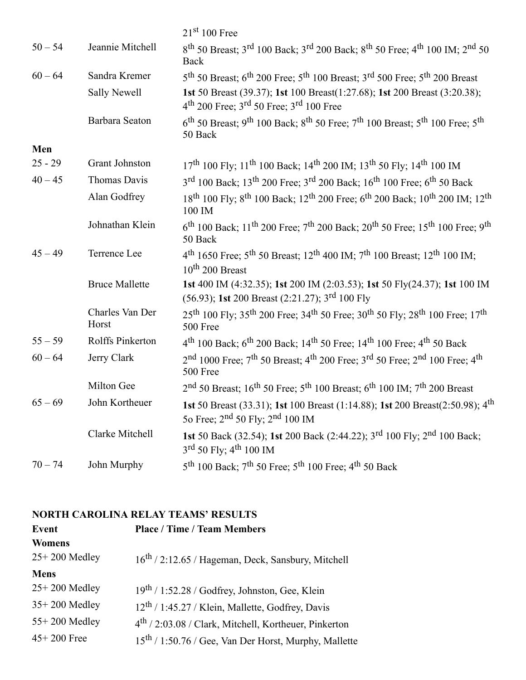|           |                          | $21st 100$ Free                                                                                                                                                 |
|-----------|--------------------------|-----------------------------------------------------------------------------------------------------------------------------------------------------------------|
| $50 - 54$ | Jeannie Mitchell         | 8 <sup>th</sup> 50 Breast; 3 <sup>rd</sup> 100 Back; 3 <sup>rd</sup> 200 Back; 8 <sup>th</sup> 50 Free; 4 <sup>th</sup> 100 IM; 2 <sup>nd</sup> 50<br>Back      |
| $60 - 64$ | Sandra Kremer            | 5 <sup>th</sup> 50 Breast; 6 <sup>th</sup> 200 Free; 5 <sup>th</sup> 100 Breast; 3 <sup>rd</sup> 500 Free; 5 <sup>th</sup> 200 Breast                           |
|           | Sally Newell             | 1st 50 Breast (39.37); 1st 100 Breast(1:27.68); 1st 200 Breast (3:20.38);<br>$4th$ 200 Free; $3rd$ 50 Free; $3rd$ 100 Free                                      |
|           | Barbara Seaton           | $6^{\text{th}}$ 50 Breast; 9 <sup>th</sup> 100 Back; 8 <sup>th</sup> 50 Free; 7 <sup>th</sup> 100 Breast; 5 <sup>th</sup> 100 Free; 5 <sup>th</sup><br>50 Back  |
| Men       |                          |                                                                                                                                                                 |
| $25 - 29$ | Grant Johnston           | $17th$ 100 Fly; $11th$ 100 Back; $14th$ 200 IM; $13th$ 50 Fly; $14th$ 100 IM                                                                                    |
| $40 - 45$ | Thomas Davis             | 3 <sup>rd</sup> 100 Back; 13 <sup>th</sup> 200 Free; 3 <sup>rd</sup> 200 Back; 16 <sup>th</sup> 100 Free; 6 <sup>th</sup> 50 Back                               |
|           | Alan Godfrey             | 18 <sup>th</sup> 100 Fly; 8 <sup>th</sup> 100 Back; 12 <sup>th</sup> 200 Free; 6 <sup>th</sup> 200 Back; 10 <sup>th</sup> 200 IM; 12 <sup>th</sup><br>100 IM    |
|           | Johnathan Klein          | $6^{th}$ 100 Back; 11 <sup>th</sup> 200 Free; 7 <sup>th</sup> 200 Back; 20 <sup>th</sup> 50 Free; 15 <sup>th</sup> 100 Free; 9 <sup>th</sup><br>50 Back         |
| $45 - 49$ | Terrence Lee             | $4^{th}$ 1650 Free; 5 <sup>th</sup> 50 Breast; 12 <sup>th</sup> 400 IM; 7 <sup>th</sup> 100 Breast; 12 <sup>th</sup> 100 IM;<br>$10^{th}$ 200 Breast            |
|           | <b>Bruce Mallette</b>    | 1st 400 IM (4:32.35); 1st 200 IM (2:03.53); 1st 50 Fly(24.37); 1st 100 IM<br>(56.93); 1st 200 Breast (2:21.27); 3 <sup>rd</sup> 100 Fly                         |
|           | Charles Van Der<br>Horst | 25 <sup>th</sup> 100 Fly; 35 <sup>th</sup> 200 Free; 34 <sup>th</sup> 50 Free; 30 <sup>th</sup> 50 Fly; 28 <sup>th</sup> 100 Free; 17 <sup>th</sup><br>500 Free |
| $55 - 59$ | Rolffs Pinkerton         | $4^{th}$ 100 Back; 6 <sup>th</sup> 200 Back; 14 <sup>th</sup> 50 Free; 14 <sup>th</sup> 100 Free; 4 <sup>th</sup> 50 Back                                       |
| $60 - 64$ | Jerry Clark              | $2nd$ 1000 Free; $7th$ 50 Breast; $4th$ 200 Free; $3rd$ 50 Free; $2nd$ 100 Free; $4th$<br>500 Free                                                              |
|           | Milton Gee               | $2nd$ 50 Breast; 16 <sup>th</sup> 50 Free; 5 <sup>th</sup> 100 Breast; 6 <sup>th</sup> 100 IM; 7 <sup>th</sup> 200 Breast                                       |
| $65 - 69$ | John Kortheuer           | 1st 50 Breast (33.31); 1st 100 Breast (1:14.88); 1st 200 Breast(2:50.98); 4 <sup>th</sup><br>50 Free; $2^{nd}$ 50 Fly; $2^{nd}$ 100 IM                          |
|           | Clarke Mitchell          | 1st 50 Back (32.54); 1st 200 Back (2:44.22); 3 <sup>rd</sup> 100 Fly; 2 <sup>nd</sup> 100 Back;<br>$3^{\text{rd}}$ 50 Fly; $4^{\text{th}}$ 100 IM               |
| $70 - 74$ | John Murphy              | 5 <sup>th</sup> 100 Back; 7 <sup>th</sup> 50 Free; 5 <sup>th</sup> 100 Free; 4 <sup>th</sup> 50 Back                                                            |

## **NORTH CAROLINA RELAY TEAMS' RESULTS**

| Event           | <b>Place / Time / Team Members</b>                                |  |  |
|-----------------|-------------------------------------------------------------------|--|--|
| <b>Womens</b>   |                                                                   |  |  |
| $25+200$ Medley | 16 <sup>th</sup> / 2:12.65 / Hageman, Deck, Sansbury, Mitchell    |  |  |
| <b>Mens</b>     |                                                                   |  |  |
| $25+200$ Medley | $19th / 1:52.28 / Godfrey, Johnston, Gee, Klein$                  |  |  |
| $35+200$ Medley | 12 <sup>th</sup> / 1:45.27 / Klein, Mallette, Godfrey, Davis      |  |  |
| 55+200 Medley   | $4th$ / 2:03.08 / Clark, Mitchell, Kortheuer, Pinkerton           |  |  |
| $45 + 200$ Free | 15 <sup>th</sup> / 1:50.76 / Gee, Van Der Horst, Murphy, Mallette |  |  |
|                 |                                                                   |  |  |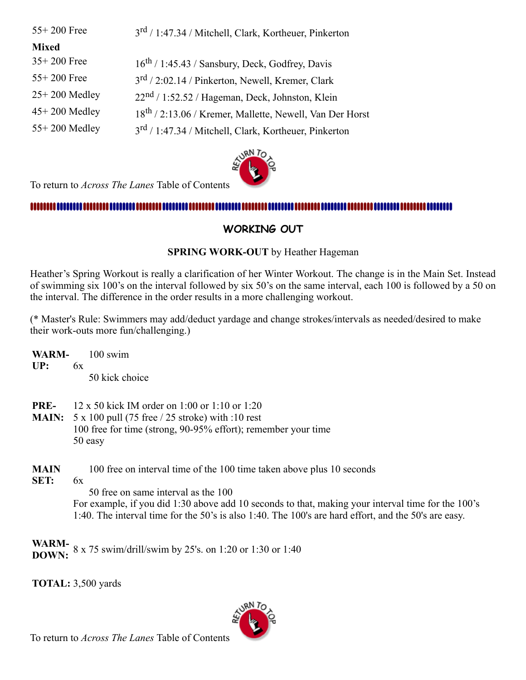### $55+200$  Free

<sup>rd</sup> / 1:47.34 / Mitchell, Clark, Kortheuer, Pinkerton

### **Mixed**

| $35+200$ Free   | $16^{th}$ / 1:45.43 / Sansbury, Deck, Godfrey, Davis                 |
|-----------------|----------------------------------------------------------------------|
| $55+200$ Free   | $3^{\text{rd}}$ / 2:02.14 / Pinkerton, Newell, Kremer, Clark         |
| $25+200$ Medley | $22nd / 1:52.52 / Hageman, Deck, Johnston, Klein$                    |
| $45+200$ Medley | 18 <sup>th</sup> / 2:13.06 / Kremer, Mallette, Newell, Van Der Horst |
| 55+200 Medley   | 3 <sup>rd</sup> / 1:47.34 / Mitchell, Clark, Kortheuer, Pinkerton    |
|                 |                                                                      |



To return to *Across The Lanes* Table of Contents

#### 

## **WORKING OUT**

## **SPRING WORK-OUT** by Heather Hageman

Heather's Spring Workout is really a clarification of her Winter Workout. The change is in the Main Set. Instead of swimming six 100's on the interval followed by six 50's on the same interval, each 100 is followed by a 50 on the interval. The difference in the order results in a more challenging workout.

(\* Master's Rule: Swimmers may add/deduct yardage and change strokes/intervals as needed/desired to make their work-outs more fun/challenging.)

**WARM-UP:** 100 swim 6x

50 kick choice

- **PRE-**12 x 50 kick IM order on 1:00 or 1:10 or 1:20
- **MAIN:** 5 x 100 pull (75 free / 25 stroke) with :10 rest 100 free for time (strong, 90-95% effort); remember your time 50 easy
- **MAIN** 100 free on interval time of the 100 time taken above plus 10 seconds
- **SET:**  $6x$

 50 free on same interval as the 100 For example, if you did 1:30 above add 10 seconds to that, making your interval time for the 100's 1:40. The interval time for the 50's is also 1:40. The 100's are hard effort, and the 50's are easy.

**WARM-** 8 x 75 swim/drill/swim by 25's. on 1:20 or 1:30 or 1:40<br>**DOWN:** 

**TOTAL:** 3,500 yards

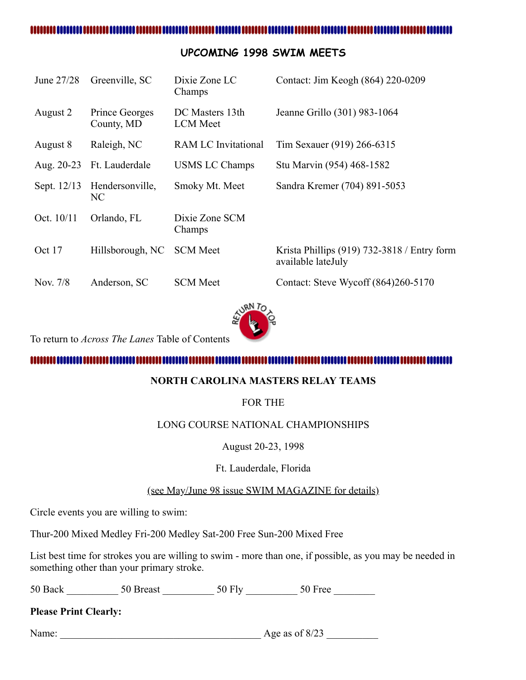#### ....................

## <span id="page-11-0"></span>**UPCOMING 1998 SWIM MEETS**

| June 27/28  | Greenville, SC               | Dixie Zone LC<br>Champs            | Contact: Jim Keogh (864) 220-0209                                   |
|-------------|------------------------------|------------------------------------|---------------------------------------------------------------------|
| August 2    | Prince Georges<br>County, MD | DC Masters 13th<br><b>LCM</b> Meet | Jeanne Grillo (301) 983-1064                                        |
| August 8    | Raleigh, NC                  | <b>RAM LC Invitational</b>         | Tim Sexauer (919) 266-6315                                          |
| Aug. 20-23  | Ft. Lauderdale               | <b>USMS LC Champs</b>              | Stu Marvin (954) 468-1582                                           |
| Sept. 12/13 | Hendersonville,<br>NC        | Smoky Mt. Meet                     | Sandra Kremer (704) 891-5053                                        |
| Oct. 10/11  | Orlando, FL                  | Dixie Zone SCM<br>Champs           |                                                                     |
| Oct 17      | Hillsborough, NC             | <b>SCM</b> Meet                    | Krista Phillips $(919)$ 732-3818 / Entry form<br>available lateJuly |
| Nov. 7/8    | Anderson, SC                 | <b>SCM</b> Meet                    | Contact: Steve Wycoff (864)260-5170                                 |



To return to *Across The Lanes* Table of Contents

## <span id="page-11-1"></span>**NORTH CAROLINA MASTERS RELAY TEAMS**

## FOR THE

## LONG COURSE NATIONAL CHAMPIONSHIPS

August 20-23, 1998

### Ft. Lauderdale, Florida

## (see May/June 98 issue SWIM MAGAZINE for details)

Circle events you are willing to swim:

Thur-200 Mixed Medley Fri-200 Medley Sat-200 Free Sun-200 Mixed Free

List best time for strokes you are willing to swim - more than one, if possible, as you may be needed in something other than your primary stroke.

50 Back \_\_\_\_\_\_\_\_\_\_\_\_ 50 Breast \_\_\_\_\_\_\_\_\_\_\_\_ 50 Fly \_\_\_\_\_\_\_\_\_\_\_\_ 50 Free \_\_\_\_\_\_\_\_\_

**Please Print Clearly:**

Name: \_\_\_\_\_\_\_\_\_\_\_\_\_\_\_\_\_\_\_\_\_\_\_\_\_\_\_\_\_\_\_\_\_\_\_\_\_\_\_ Age as of 8/23 \_\_\_\_\_\_\_\_\_\_